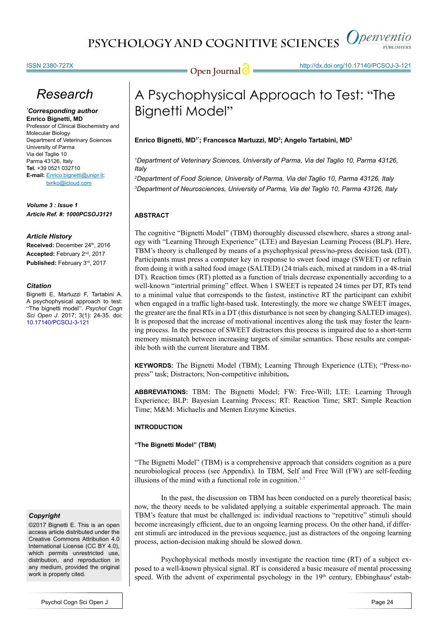

### ISSN 2380-727X

**Open Journal | imperimental http://dx.doi.org/10.17140/PCSOJ-3-121** 

# *Research*

### *\* Corresponding author* **Enrico Bignetti, MD**

Professor of Clinical Biochemistry and Molecular Biology Department of Veterinary Sciences University of Parma Via del Taglio 10 Parma 43126, Italy **Tel.** +39 0521 032710 **E-mail:** Enrico.bignetti@unipr.it; biriko@icloud.com

*Volume 3 : Issue 1 Article Ref. #: 1000PCSOJ3121*

## *Article History*

Received: December 24th, 2016 **Accepted:** February 2nd, 2017 Published: February 3rd, 2017

## *Citation*

Bignetti E, Martuzzi F, Tartabini A. A psychophysical approach to test: "The bignetti model". *Psychol Cogn Sci Open J*. 2017; 3(1): 24-35. doi: [10.17140/PCSOJ-3-121](http://dx.doi.org/10.17140/PCSOJ-3-121)

### *Copyright*

©2017 Bignetti E. This is an open access article distributed under the Creative Commons Attribution 4.0 International License (CC BY 4.0), which permits unrestricted use. distribution, and reproduction in any medium, provided the original work is properly cited.

# A Psychophysical Approach to Test: "The Bignetti Model"

**Enrico Bignetti, MD1\*; Francesca Martuzzi, MD2 ; Angelo Tartabini, MD3**

*1 Department of Veterinary Sciences, University of Parma, Via del Taglio 10, Parma 43126, Italy*

*2 Department of Food Science, University of Parma, Via del Taglio 10, Parma 43126, Italy 3 Department of Neurosciences, University of Parma, Via del Taglio 10, Parma 43126, Italy*

## **ABSTRACT**

The cognitive "Bignetti Model" (TBM) thoroughly discussed elsewhere, shares a strong analogy with "Learning Through Experience" (LTE) and Bayesian Learning Process (BLP). Here, TBM's theory is challenged by means of a psychophysical press/no-press decision task (DT). Participants must press a computer key in response to sweet food image (SWEET) or refrain from doing it with a salted food image (SALTED) (24 trials each, mixed at random in a 48-trial DT). Reaction times (RT) plotted as a function of trials decrease exponentially according to a well-known "intertrial priming" effect. When 1 SWEET is repeated 24 times per DT, RTs tend to a minimal value that corresponds to the fastest, instinctive RT the participant can exhibit when engaged in a traffic light-based task. Interestingly, the more we change SWEET images, the greater are the final RTs in a DT (this disturbance is not seen by changing SALTED images). It is proposed that the increase of motivational incentives along the task may foster the learning process. In the presence of SWEET distractors this process is impaired due to a short-term memory mismatch between increasing targets of similar semantics. These results are compatible both with the current literature and TBM.

**KEYWORDS:** The Bignetti Model (TBM); Learning Through Experience (LTE); "Press-nopress" task; Distractors; Non-competitive inhibition**.**

**ABBREVIATIONS:** TBM: The Bignetti Model; FW: Free-Will; LTE: Learning Through Experience; BLP: Bayesian Learning Process; RT: Reaction Time; SRT: Simple Reaction Time; M&M: Michaelis and Menten Enzyme Kinetics.

## **INTRODUCTION**

## **"The Bignetti Model" (TBM)**

"The Bignetti Model" (TBM) is a comprehensive approach that considers cognition as a pure neurobiological process (see Appendix). In TBM, Self and Free Will (FW) are self-feeding illusions of the mind with a functional role in cognition. $1-7$ 

In the past, the discussion on TBM has been conducted on a purely theoretical basis; now, the theory needs to be validated applying a suitable experimental approach. The main TBM's feature that must be challenged is: individual reactions to "repetitive" stimuli should become increasingly efficient, due to an ongoing learning process. On the other hand, if different stimuli are introduced in the previous sequence, just as distractors of the ongoing learning process, action-decision making should be slowed down.

Psychophysical methods mostly investigate the reaction time (RT) of a subject exposed to a well-known physical signal. RT is considered a basic measure of mental processing speed. With the advent of experimental psychology in the  $19<sup>th</sup>$  century, Ebbinghaus<sup>8</sup> estab-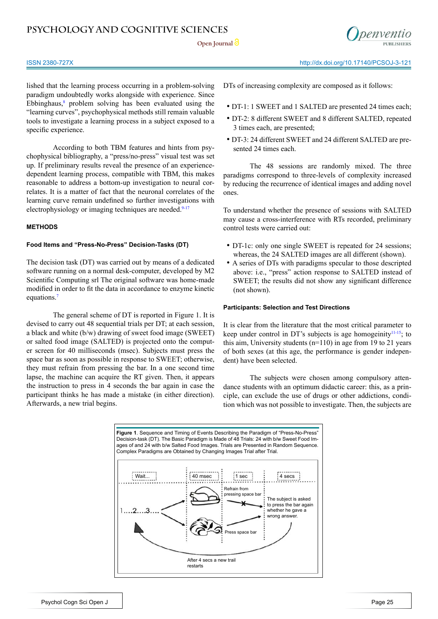Open Journal<sup>2</sup>



### ISSN 2380-727X http://dx.doi.org/10.17140/PCSOJ-3-121

lished that the learning process occurring in a problem-solving paradigm undoubtedly works alongside with experience. Since Ebbinghaus, $\delta$  problem solving has been evaluated using the "learning curves", psychophysical methods still remain valuable tools to investigate a learning process in a subject exposed to a specific experience.

According to both TBM features and hints from psychophysical bibliography, a "press/no-press" visual test was set up. If preliminary results reveal the presence of an experiencedependent learning process, compatible with TBM, this makes reasonable to address a bottom-up investigation to neural correlates. It is a matter of fact that the neuronal correlates of the learning curve remain undefined so further investigations with electrophysiology or imaging techniques are needed.<sup>9-17</sup>

## **METHODS**

## **Food Items and "Press-No-Press" Decision-Tasks (DT)**

The decision task (DT) was carried out by means of a dedicated software running on a normal desk-computer, developed by M2 Scientific Computing srl The original software was home-made modified in order to fit the data in accordance to enzyme kinetic equations.<sup>[7](#page-8-3)</sup>

The general scheme of DT is reported in Figure 1. It is devised to carry out 48 sequential trials per DT; at each session, a black and white (b/w) drawing of sweet food image (SWEET) or salted food image (SALTED) is projected onto the computer screen for 40 milliseconds (msec). Subjects must press the space bar as soon as possible in response to SWEET; otherwise, they must refrain from pressing the bar. In a one second time lapse, the machine can acquire the RT given. Then, it appears the instruction to press in 4 seconds the bar again in case the participant thinks he has made a mistake (in either direction). Afterwards, a new trial begins.

DTs of increasing complexity are composed as it follows:

- DT-1: 1 SWEET and 1 SALTED are presented 24 times each;
- DT-2: 8 different SWEET and 8 different SALTED, repeated 3 times each, are presented;
- DT-3: 24 different SWEET and 24 different SALTED are presented 24 times each.

The 48 sessions are randomly mixed. The three paradigms correspond to three-levels of complexity increased by reducing the recurrence of identical images and adding novel ones.

To understand whether the presence of sessions with SALTED may cause a cross-interference with RTs recorded, preliminary control tests were carried out:

- DT-1c: only one single SWEET is repeated for 24 sessions; whereas, the 24 SALTED images are all different (shown).
- A series of DTs with paradigms specular to those descripted above: i.e., "press" action response to SALTED instead of SWEET; the results did not show any significant difference (not shown).

## **Participants: Selection and Test Directions**

It is clear from the literature that the most critical parameter to keep under control in DT's subjects is age homogeinity<sup>[11-15](#page-8-4)</sup>; to this aim, University students  $(n=110)$  in age from 19 to 21 years of both sexes (at this age, the performance is gender independent) have been selected.

The subjects were chosen among compulsory attendance students with an optimum didactic career: this, as a principle, can exclude the use of drugs or other addictions, condition which was not possible to investigate. Then, the subjects are

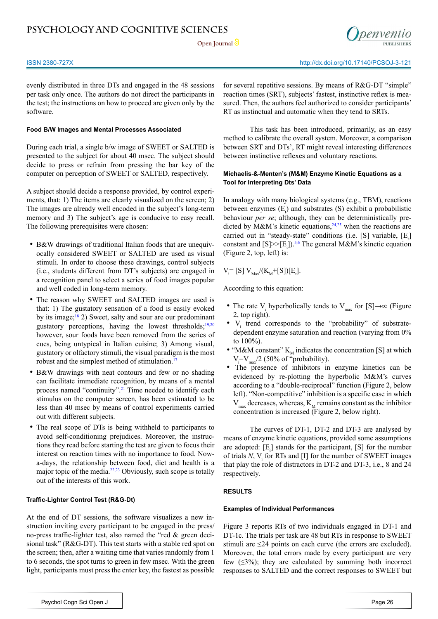

evenly distributed in three DTs and engaged in the 48 sessions per task only once. The authors do not direct the participants in the test; the instructions on how to proceed are given only by the software.

## **Food B/W Images and Mental Processes Associated**

During each trial, a single b/w image of SWEET or SALTED is presented to the subject for about 40 msec. The subject should decide to press or refrain from pressing the bar key of the computer on perception of SWEET or SALTED, respectively.

A subject should decide a response provided, by control experiments, that: 1) The items are clearly visualized on the screen; 2) The images are already well encoded in the subject's long-term memory and 3) The subject's age is conducive to easy recall. The following prerequisites were chosen:

- B&W drawings of traditional Italian foods that are unequivocally considered SWEET or SALTED are used as visual stimuli. In order to choose these drawings, control subjects (i.e., students different from DT's subjects) are engaged in a recognition panel to select a series of food images popular and well coded in long-term memory.
- The reason why SWEET and SALTED images are used is that: 1) The gustatory sensation of a food is easily evoked by its image; $18$  2) Sweet, salty and sour are our predominant gustatory perceptions, having the lowest thresholds; $19,20$ however, sour foods have been removed from the series of cues, being untypical in Italian cuisine; 3) Among visual, gustatory or olfactory stimuli, the visual paradigm is the most robust and the simplest method of stimulation.<sup>17</sup>
- B&W drawings with neat contours and few or no shading can facilitate immediate recognition, by means of a mental process named "continuity".<sup>21</sup> Time needed to identify each stimulus on the computer screen, has been estimated to be less than 40 msec by means of control experiments carried out with different subjects.
- The real scope of DTs is being withheld to participants to avoid self-conditioning prejudices. Moreover, the instructions they read before starting the test are given to focus their interest on reaction times with no importance to food. Nowa-days, the relationship between food, diet and health is a major topic of the media.<sup>22,23</sup> Obviously, such scope is totally out of the interests of this work.

## **Traffic-Lighter Control Test (R&G-Dt)**

At the end of DT sessions, the software visualizes a new instruction inviting every participant to be engaged in the press/ no-press traffic-lighter test, also named the "red & green decisional task" (R&G-DT). This test starts with a stable red spot on the screen; then, after a waiting time that varies randomly from 1 to 6 seconds, the spot turns to green in few msec. With the green light, participants must press the enter key, the fastest as possible

for several repetitive sessions. By means of R&G-DT "simple" reaction times (SRT), subjects' fastest, instinctive reflex is measured. Then, the authors feel authorized to consider participants' RT as instinctual and automatic when they tend to SRTs.

This task has been introduced, primarily, as an easy method to calibrate the overall system. Moreover, a comparison between SRT and DTs', RT might reveal interesting differences between instinctive reflexes and voluntary reactions.

## **Michaelis-&-Menten's (M&M) Enzyme Kinetic Equations as a Tool for Interpreting Dts' Data**

In analogy with many biological systems (e.g., TBM), reactions between enzymes  $(E_t)$  and substrates  $(S)$  exhibit a probabilistic behaviour *per se*; although, they can be deterministically predicted by  $M\&M$ 's kinetic equations,<sup>24,25</sup> when the reactions are carried out in "steady-state" conditions (i.e. [S] variable,  $[E_t]$ constant and  $[S] \geq [E_t]$ ).<sup>5,6</sup> The general M&M's kinetic equation (Figure 2, top, left) is:

$$
V_i = [S] V_{\text{Max}} / (K_{\text{M}} + [S])[E_t].
$$

According to this equation:

- The rate V<sub>i</sub> hyperbolically tends to V<sub>max</sub> for [S]→∞ (Figure 2, top right).
- $\bullet$  V<sub>i</sub> trend corresponds to the "probability" of substratedependent enzyme saturation and reaction (varying from 0% to 100%).
- "M&M constant"  $K_M$  indicates the concentration [S] at which  $V_i = V_{max}/2$  (50% of "probability).
- The presence of inhibitors in enzyme kinetics can be evidenced by re-plotting the hyperbolic M&M's curves according to a "double-reciprocal" function (Figure 2, below left). "Non-competitive" inhibition is a specific case in which  $V_{\text{max}}$  decreases, whereas,  $K_{\text{M}}$  remains constant as the inhibitor concentration is increased (Figure 2, below right).

The curves of DT-1, DT-2 and DT-3 are analysed by means of enzyme kinetic equations, provided some assumptions are adopted:  $[E_t]$  stands for the participant, [S] for the number of trials  $N$ ,  $V_i$  for RTs and [I] for the number of SWEET images that play the role of distractors in DT-2 and DT-3, i.e., 8 and 24 respectively.

## **RESULTS**

## **Examples of Individual Performances**

Figure 3 reports RTs of two individuals engaged in DT-1 and DT-1c. The trials per task are 48 but RTs in response to SWEET stimuli are  $\leq$ 24 points on each curve (the errors are excluded). Moreover, the total errors made by every participant are very few  $(\leq 3\%)$ ; they are calculated by summing both incorrect responses to SALTED and the correct responses to SWEET but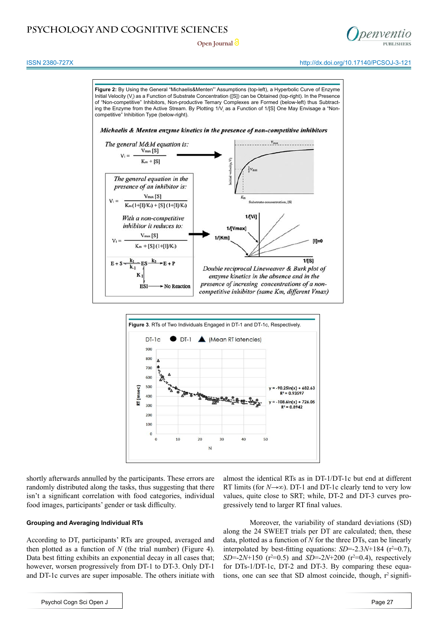**Open Journal**



ISSN 2380-727X http://dx.doi.org/10.17140/PCSOJ-3-121



N

shortly afterwards annulled by the participants. These errors are randomly distributed along the tasks, thus suggesting that there isn't a significant correlation with food categories, individual food images, participants' gender or task difficulty.

### **Grouping and Averaging Individual RTs**

According to DT, participants' RTs are grouped, averaged and then plotted as a function of  $N$  (the trial number) (Figure 4). Data best fitting exhibits an exponential decay in all cases that; however, worsen progressively from DT-1 to DT-3. Only DT-1 and DT-1c curves are super imposable. The others initiate with

almost the identical RTs as in DT-1/DT-1c but end at different RT limits (for  $N \rightarrow \infty$ ). DT-1 and DT-1c clearly tend to very low values, quite close to SRT; while, DT-2 and DT-3 curves progressively tend to larger RT final values.

Moreover, the variability of standard deviations (SD) along the 24 SWEET trials per DT are calculated; then, these data, plotted as a function of *N* for the three DTs, can be linearly interpolated by best-fitting equations:  $SD = 2.3N + 184$  ( $r^2 = 0.7$ ),  $SD = 2N + 150$  ( $r^2 = 0.5$ ) and  $SD = 2N + 200$  ( $r^2 = 0.4$ ), respectively for DTs-1/DT-1c, DT-2 and DT-3. By comparing these equations, one can see that SD almost coincide, though,  $r^2$  signifi-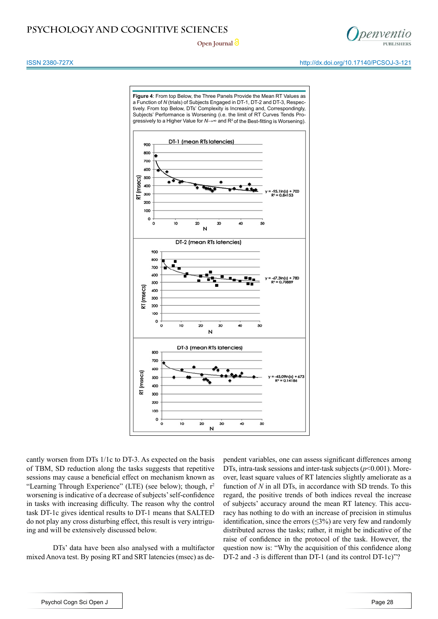

**Open Journal**

ISSN 2380-727X http://dx.doi.org/10.17140/PCSOJ-3-121



cantly worsen from DTs 1/1c to DT-3. As expected on the basis of TBM, SD reduction along the tasks suggests that repetitive sessions may cause a beneficial effect on mechanism known as "Learning Through Experience" (LTE) (see below); though,  $r^2$ worsening is indicative of a decrease of subjects' self-confidence in tasks with increasing difficulty. The reason why the control task DT-1c gives identical results to DT-1 means that SALTED do not play any cross disturbing effect, this result is very intriguing and will be extensively discussed below.

DTs' data have been also analysed with a multifactor mixed Anova test. By posing RT and SRT latencies (msec) as dependent variables, one can assess significant differences among DTs, intra-task sessions and inter-task subjects ( $p$ <0.001). Moreover, least square values of RT latencies slightly ameliorate as a function of *N* in all DTs, in accordance with SD trends. To this regard, the positive trends of both indices reveal the increase of subjects' accuracy around the mean RT latency. This accuracy has nothing to do with an increase of precision in stimulus identification, since the errors  $(\leq 3\%)$  are very few and randomly distributed across the tasks; rather, it might be indicative of the raise of confidence in the protocol of the task. However, the question now is: "Why the acquisition of this confidence along DT-2 and -3 is different than DT-1 (and its control DT-1c)"?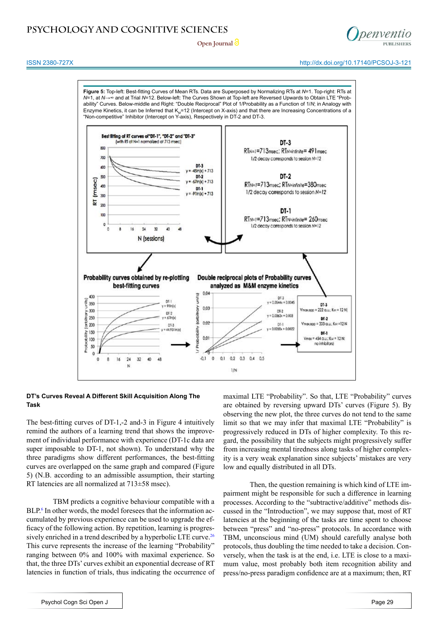

## ISSN 2380-727X http://dx.doi.org/10.17140/PCSOJ-3-121

# **PSYCHOLOGY AND COGNITIVE SCIENCES**





## **DT's Curves Reveal A Different Skill Acquisition Along The Task**

The best-fitting curves of DT-1,-2 and-3 in Figure 4 intuitively remind the authors of a learning trend that shows the improvement of individual performance with experience (DT-1c data are super imposable to DT-1, not shown). To understand why the three paradigms show different performances, the best-fitting curves are overlapped on the same graph and compared (Figure 5) (N.B. according to an admissible assumption, their starting RT latencies are all normalized at 713±58 msec).

TBM predicts a cognitive behaviour compatible with a BLP.<sup>[6](#page-8-6)</sup> In other words, the model foresees that the information accumulated by previous experience can be used to upgrade the efficacy of the following action. By repetition, learning is progres-sively enriched in a trend described by a hyperbolic LTE curve.<sup>[26](#page-9-6)</sup> This curve represents the increase of the learning "Probability" ranging between 0% and 100% with maximal experience. So that, the three DTs' curves exhibit an exponential decrease of RT latencies in function of trials, thus indicating the occurrence of maximal LTE "Probability". So that, LTE "Probability" curves are obtained by reversing upward DTs' curves (Figure 5). By observing the new plot, the three curves do not tend to the same limit so that we may infer that maximal LTE "Probability" is progressively reduced in DTs of higher complexity. To this regard, the possibility that the subjects might progressively suffer from increasing mental tiredness along tasks of higher complexity is a very weak explanation since subjects' mistakes are very low and equally distributed in all DTs.

Then, the question remaining is which kind of LTE impairment might be responsible for such a difference in learning processes. According to the "subtractive/additive" methods discussed in the "Introduction", we may suppose that, most of RT latencies at the beginning of the tasks are time spent to choose between "press" and "no-press" protocols. In accordance with TBM, unconscious mind (UM) should carefully analyse both protocols, thus doubling the time needed to take a decision. Conversely, when the task is at the end, i.e. LTE is close to a maximum value, most probably both item recognition ability and press/no-press paradigm confidence are at a maximum; then, RT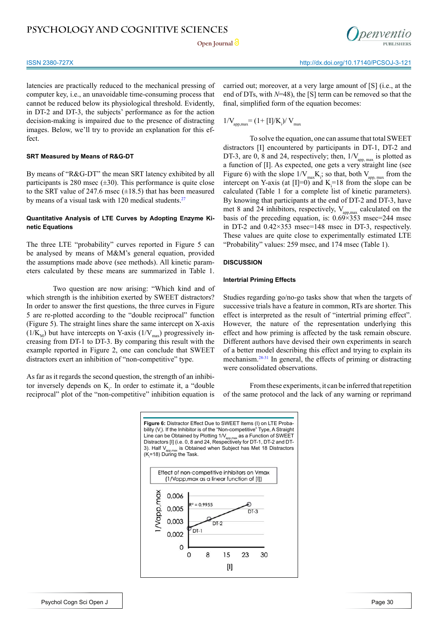

latencies are practically reduced to the mechanical pressing of computer key, i.e., an unavoidable time-consuming process that cannot be reduced below its physiological threshold. Evidently, in DT-2 and DT-3, the subjects' performance as for the action decision-making is impaired due to the presence of distracting images. Below, we'll try to provide an explanation for this effect.

## **SRT Measured by Means of R&G-DT**

By means of "R&G-DT" the mean SRT latency exhibited by all participants is 280 msec  $(\pm 30)$ . This performance is quite close to the SRT value of 247.6 msec  $(\pm 18.5)$  that has been measured by means of a visual task with 120 medical students. $27$ 

## **Quantitative Analysis of LTE Curves by Adopting Enzyme Kinetic Equations**

The three LTE "probability" curves reported in Figure 5 can be analysed by means of M&M's general equation, provided the assumptions made above (see methods). All kinetic parameters calculated by these means are summarized in Table 1.

Two question are now arising: "Which kind and of which strength is the inhibition exerted by SWEET distractors? In order to answer the first questions, the three curves in Figure 5 are re-plotted according to the "double reciprocal" function (Figure 5). The straight lines share the same intercept on X-axis  $(1/K<sub>M</sub>)$  but have intercepts on Y-axis  $(1/V<sub>max</sub>)$  progressively increasing from DT-1 to DT-3. By comparing this result with the example reported in Figure 2, one can conclude that SWEET distractors exert an inhibition of "non-competitive" type.

As far as it regards the second question, the strength of an inhibitor inversely depends on  $K_i$ . In order to estimate it, a "double" reciprocal" plot of the "non-competitive" inhibition equation is

carried out; moreover, at a very large amount of [S] (i.e., at the end of DTs, with *N*=48), the [S] term can be removed so that the final, simplified form of the equation becomes:

$$
1/V_{\text{app,max}} = (1 + [I]/K_{\text{i}})/V_{\text{max}}
$$

To solve the equation, one can assume that total SWEET distractors [I] encountered by participants in DT-1, DT-2 and DT-3, are 0, 8 and 24, respectively; then,  $1/V_{\text{app,max}}$  is plotted as a function of [I]. As expected, one gets a very straight line (see Figure 6) with the slope  $1/V_{max}K_i$ ; so that, both  $V_{app, max}$  from the intercept on Y-axis (at  $[I]=0$ ) and  $K_i=18$  from the slope can be calculated (Table 1 for a complete list of kinetic parameters). By knowing that participants at the end of DT-2 and DT-3, have met 8 and 24 inhibitors, respectively,  $V_{\text{app,max}}$  calculated on the basis of the preceding equation, is:  $0.69 \times 353$  msec=244 msec in DT-2 and 0.42×353 msec=148 msec in DT-3, respectively. These values are quite close to experimentally estimated LTE "Probability" values: 259 msec, and 174 msec (Table 1).

## **DISCUSSION**

### **Intertrial Priming Effects**

Studies regarding go/no-go tasks show that when the targets of successive trials have a feature in common, RTs are shorter. This effect is interpreted as the result of "intertrial priming effect". However, the nature of the representation underlying this effect and how priming is affected by the task remain obscure. Different authors have devised their own experiments in search of a better model describing this effect and trying to explain its mechanism.[28-31](#page-9-8) In general, the effects of priming or distracting were consolidated observations.

From these experiments, it can be inferred that repetition of the same protocol and the lack of any warning or reprimand

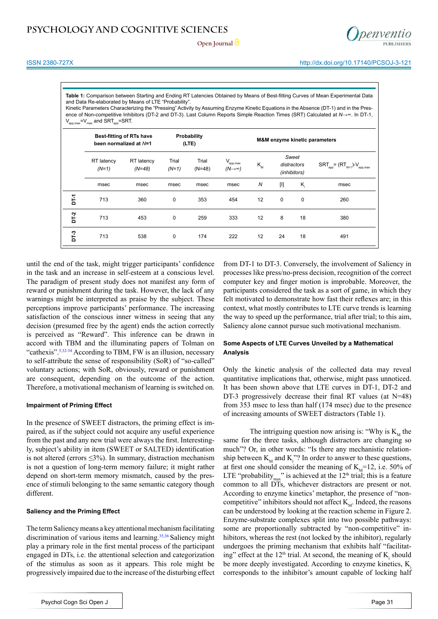

**Table 1:** Comparison between Starting and Ending RT Latencies Obtained by Means of Best-fitting Curves of Mean Experimental Data and Data Re-elaborated by Means of LTE "Probability".

Kinetic Parameters Characterizing the "Pressing" Activity by Assuming Enzyme Kinetic Equations in the Absence (DT-1) and in the Presence of Non-competitive Inhibitors (DT-2 and DT-3). Last Column Reports Simple Reaction Times (SRT) Calculated at *N*→∞. In DT-1,  $V_{\text{apo,max}}=V_{\text{max}}$  and  $SRT_{\text{apo}}=SRT$ .

|        | <b>Best-fitting of RTs have</b><br>been normalized at N=1 |                        | Probability<br>(LTE) |                   | M&M enzyme kinetic parameters             |                                                     |             |             |                                      |
|--------|-----------------------------------------------------------|------------------------|----------------------|-------------------|-------------------------------------------|-----------------------------------------------------|-------------|-------------|--------------------------------------|
|        | RT latency<br>$(N=1)$                                     | RT latency<br>$(N=48)$ | Trial<br>$(N=1)$     | Trial<br>$(N=48)$ | $V_{app,max}$<br>$(N \rightarrow \infty)$ | Sweet<br>$K_{\rm M}$<br>distractors<br>(inhibitors) |             |             | $SRT_{app} = (RT_{N=1})-V_{app,max}$ |
|        | msec                                                      | msec                   | msec                 | msec              | msec                                      | N                                                   | $[1]$       | $K_i$       | msec                                 |
| Ě      | 713                                                       | 360                    | 0                    | 353               | 454                                       | 12                                                  | $\mathbf 0$ | $\mathbf 0$ | 260                                  |
| $DT-2$ | 713                                                       | 453                    | $\mathbf 0$          | 259               | 333                                       | 12                                                  | 8           | 18          | 380                                  |
| Σ-1    | 713                                                       | 538                    | 0                    | 174               | 222                                       | 12                                                  | 24          | 18          | 491                                  |

until the end of the task, might trigger participants' confidence in the task and an increase in self-esteem at a conscious level. The paradigm of present study does not manifest any form of reward or punishment during the task. However, the lack of any warnings might be interpreted as praise by the subject. These perceptions improve participants' performance. The increasing satisfaction of the conscious inner witness in seeing that any decision (presumed free by the agent) ends the action correctly is perceived as "Reward". This inference can be drawn in accord with TBM and the illuminating papers of Tolman on "cathexis"[.5](#page-8-5),[32-34](#page-9-9) According to TBM, FW is an illusion, necessary to self-attribute the sense of responsibility (SoR) of "so-called" voluntary actions; with SoR, obviously, reward or punishment are consequent, depending on the outcome of the action. Therefore, a motivational mechanism of learning is switched on.

## **Impairment of Priming Effect**

In the presence of SWEET distractors, the priming effect is impaired, as if the subject could not acquire any useful experience from the past and any new trial were always the first. Interestingly, subject's ability in item (SWEET or SALTED) identification is not altered (errors ≤3%). In summary, distraction mechanism is not a question of long-term memory failure; it might rather depend on short-term memory mismatch, caused by the presence of stimuli belonging to the same semantic category though different.

## **Saliency and the Priming Effect**

The term Saliency means a key attentional mechanism facilitating discrimination of various items and learning.<sup>35,36</sup> Saliency might play a primary role in the first mental process of the participant engaged in DTs, i.e. the attentional selection and categorization of the stimulus as soon as it appears. This role might be progressively impaired due to the increase of the disturbing effect

from DT-1 to DT-3. Conversely, the involvement of Saliency in processes like press/no-press decision, recognition of the correct computer key and finger motion is improbable. Moreover, the participants considered the task as a sort of game, in which they felt motivated to demonstrate how fast their reflexes are; in this context, what mostly contributes to LTE curve trends is learning the way to speed up the performance, trial after trial; to this aim, Saliency alone cannot pursue such motivational mechanism.

## **Some Aspects of LTE Curves Unveiled by a Mathematical Analysis**

Only the kinetic analysis of the collected data may reveal quantitative implications that, otherwise, might pass unnoticed. It has been shown above that LTE curves in DT-1, DT-2 and DT-3 progressively decrease their final RT values (at N=48) from 353 msec to less than half (174 msec) due to the presence of increasing amounts of SWEET distractors (Table 1).

The intriguing question now arising is: "Why is  $K<sub>M</sub>$  the same for the three tasks, although distractors are changing so much"? Or, in other words: "Is there any mechanistic relationship between  $K_M$  and  $K_i$ "? In order to answer to these questions, at first one should consider the meaning of  $K<sub>M</sub>=12$ , i.e. 50% of LTE "probability<sub>max</sub>" is achieved at the  $12<sup>th</sup>$  trial; this is a feature common to all DTs, whichever distractors are present or not. According to enzyme kinetics' metaphor, the presence of "noncompetitive" inhibitors should not affect  $K_{M}$ . Indeed, the reasons can be understood by looking at the reaction scheme in Figure 2. Enzyme-substrate complexes split into two possible pathways: some are proportionally subtracted by "non-competitive" inhibitors, whereas the rest (not locked by the inhibitor), regularly undergoes the priming mechanism that exhibits half "facilitating" effect at the  $12<sup>th</sup>$  trial. At second, the meaning of  $K<sub>i</sub>$  should be more deeply investigated. According to enzyme kinetics, K<sub>i</sub> corresponds to the inhibitor's amount capable of locking half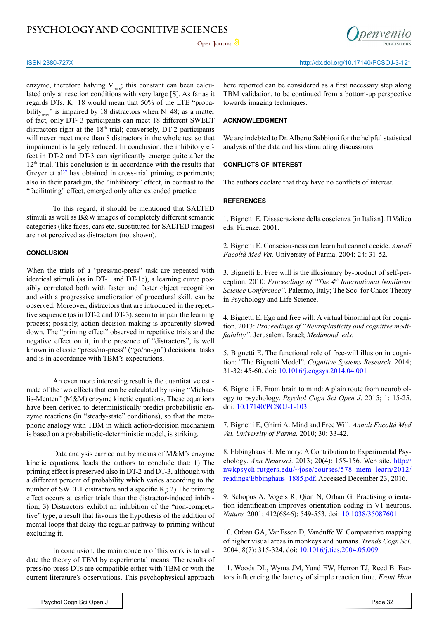Open Journal<sup>2</sup>



enzyme, therefore halving  $V_{\text{max}}$ ; this constant can been calculated only at reaction conditions with very large [S]. As far as it regards DTs,  $K_i = 18$  would mean that 50% of the LTE "probability<sub>max</sub>" is impaired by 18 distractors when N=48; as a matter of fact, only DT- 3 participants can meet 18 different SWEET distractors right at the  $18<sup>th</sup>$  trial; conversely, DT-2 participants will never meet more than 8 distractors in the whole test so that impairment is largely reduced. In conclusion, the inhibitory effect in DT-2 and DT-3 can significantly emerge quite after the 12<sup>th</sup> trial. This conclusion is in accordance with the results that Greyer et al $37$  has obtained in cross-trial priming experiments; also in their paradigm, the "inhibitory" effect, in contrast to the "facilitating" effect, emerged only after extended practice.

To this regard, it should be mentioned that SALTED stimuli as well as B&W images of completely different semantic categories (like faces, cars etc. substituted for SALTED images) are not perceived as distractors (not shown).

## **CONCLUSION**

When the trials of a "press/no-press" task are repeated with identical stimuli (as in DT-1 and DT-1c), a learning curve possibly correlated both with faster and faster object recognition and with a progressive amelioration of procedural skill, can be observed. Moreover, distractors that are introduced in the repetitive sequence (as in DT-2 and DT-3), seem to impair the learning process; possibly, action-decision making is apparently slowed down. The "priming effect" observed in repetitive trials and the negative effect on it, in the presence of "distractors", is well known in classic "press/no-press" ("go/no-go") decisional tasks and is in accordance with TBM's expectations.

An even more interesting result is the quantitative estimate of the two effects that can be calculated by using "Michaelis-Menten" (M&M) enzyme kinetic equations. These equations have been derived to deterministically predict probabilistic enzyme reactions (in "steady-state" conditions), so that the metaphoric analogy with TBM in which action-decision mechanism is based on a probabilistic-deterministic model, is striking.

Data analysis carried out by means of M&M's enzyme kinetic equations, leads the authors to conclude that: 1) The priming effect is preserved also in DT-2 and DT-3, although with a different percent of probability which varies according to the number of SWEET distractors and a specific  $K_i$ ; 2) The priming effect occurs at earlier trials than the distractor-induced inhibition; 3) Distractors exhibit an inhibition of the "non-competitive" type, a result that favours the hypothesis of the addition of mental loops that delay the regular pathway to priming without excluding it.

In conclusion, the main concern of this work is to validate the theory of TBM by experimental means. The results of press/no-press DTs are compatible either with TBM or with the current literature's observations. This psychophysical approach

here reported can be considered as a first necessary step along TBM validation, to be continued from a bottom-up perspective towards imaging techniques.

## **ACKNOWLEDGMENT**

We are indebted to Dr. Alberto Sabbioni for the helpful statistical analysis of the data and his stimulating discussions.

## **CONFLICTS OF INTEREST**

The authors declare that they have no conflicts of interest.

## **REFERENCES**

<span id="page-8-0"></span>1. Bignetti E. Dissacrazione della coscienza [in Italian]. Il Valico eds. Firenze; 2001.

2. Bignetti E. Consciousness can learn but cannot decide. *Annali Facoltà Med Vet.* University of Parma. 2004; 24: 31-52.

3. Bignetti E. Free will is the illusionary by-product of self-perception. 2010: *Proceedings of "The 4th International Nonlinear Science Conference".* Palermo, Italy; The Soc. for Chaos Theory in Psychology and Life Science.

4. Bignetti E. Ego and free will: A virtual binomial apt for cognition. 2013: *Proceedings of "Neuroplasticity and cognitive modifiability"*. Jerusalem, Israel; *Medimond, eds*.

<span id="page-8-5"></span>5. Bignetti E. The functional role of free-will illusion in cognition: "The Bignetti Model". *Cognitive Systems Research.* 2014; 31-32: 45-60. doi[: 10.1016/j.cogsys.2014.04.001](http://dl.acm.org/citation.cfm%3Fid%3D2657608)

<span id="page-8-6"></span>6. Bignetti E. From brain to mind: A plain route from neurobiology to psychology. *Psychol Cogn Sci Open J*. 2015; 1: 15-25. doi: [10.17140/PCSOJ-1-103](http://openventio.org/Volume1_Issue1/From_Brain_to_Mind_A_Plain_Route_from_Neurobiology_to_Psychology_PCSOJ_1_103.pdf)

<span id="page-8-3"></span>7. Bignetti E, Ghirri A. Mind and Free Will. *Annali Facoltà Med Vet. University of Parma.* 2010; 30: 33-42.

<span id="page-8-1"></span>8. Ebbinghaus H. Memory: A Contribution to Experimental Psychology. *Ann Neurosci*. 2013; 20(4): 155-156. Web site. [http://](http://nwkpsych.rutgers.edu/~jose/courses/578_mem_learn/2012/readings/Ebbinghaus_1885.pdf) [nwkpsych.rutgers.edu/~jose/courses/578\\_mem\\_learn/2012/](http://nwkpsych.rutgers.edu/~jose/courses/578_mem_learn/2012/readings/Ebbinghaus_1885.pdf) [readings/Ebbinghaus\\_1885.pdf](http://nwkpsych.rutgers.edu/~jose/courses/578_mem_learn/2012/readings/Ebbinghaus_1885.pdf). Accessed December 23, 2016.

<span id="page-8-2"></span>9. Schopus A, Vogels R, Qian N, Orban G. Practising orientation identification improves orientation coding in V1 neurons. *Nature.* 2001; 412(6846): 549-553. doi: [10.1038/35087601](http://www.nature.com/nature/journal/v412/n6846/full/412549a0.html)

10. Orban GA, VanEssen D, Vanduffe W. Comparative mapping of higher visual areas in monkeys and humans. *Trends Cogn Sci*. 2004; 8(7): 315-324. doi: [10.1016/j.tics.2004.05.009](http://www.cell.com/trends/cognitive-sciences/abstract/S1364-6613%2804%2900142-1%3F_returnURL%3Dhttp%253A%252F%252Flinkinghub.elsevier.com%252Fretrieve%252Fpii%252FS1364661304001421%253Fshowall%253Dtrue)

<span id="page-8-4"></span>11. Woods DL, Wyma JM, Yund EW, Herron TJ, Reed B. Factors influencing the latency of simple reaction time. *Front Hum*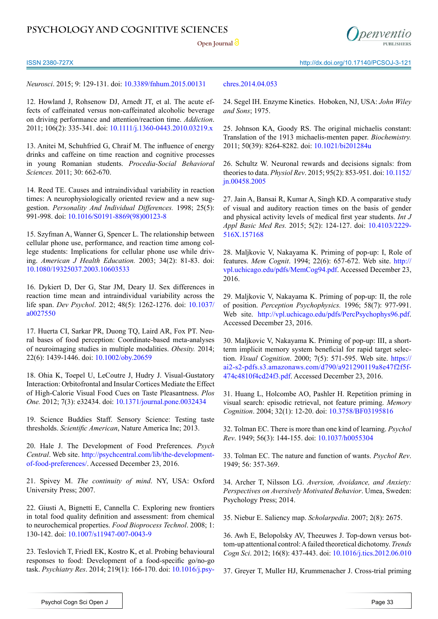Open Journal<sup>2</sup>



ISSN 2380-727X http://dx.doi.org/10.17140/PCSOJ-3-121

*Neurosci*. 2015; 9: 129-131. doi: [10.3389/fnhum.2015.00131](http://journal.frontiersin.org/article/10.3389/fnhum.2015.00131/full)

12. Howland J, Rohsenow DJ, Arnedt JT, et al. The acute effects of caffeinated versus non-caffeinated alcoholic beverage on driving performance and attention/reaction time. *Addiction*. 2011; 106(2): 335-341. doi: [10.1111/j.1360-0443.2010.03219.x](https://deepblue.lib.umich.edu/handle/2027.42/79153)

13. Anitei M, Schuhfried G, Chraif M. The influence of energy drinks and caffeine on time reaction and cognitive processes in young Romanian students. *Procedia-Social Behavioral Sciences.* 2011; 30: 662-670.

14. Reed TE. Causes and intraindividual variability in reaction times: A neurophysiologically oriented review and a new suggestion. *Personality And Individual Differences.* 1998; 25(5): 991-998. doi: [10.1016/S0191-8869\(98\)00123-8](http://psycnet.apa.org/psycinfo/1998-10949-015)

15. Szyfman A, Wanner G, Spencer L. The relationship between cellular phone use, performance, and reaction time among college students: Implications for cellular phone use while driving. *American J Health Education.* 2003; 34(2): 81-83. doi: [10.1080/19325037.2003.10603533](http://www.tandfonline.com/doi/abs/10.1080/19325037.2003.10603533)

16. Dykiert D, Der G, Star JM, Deary IJ. Sex differences in reaction time mean and intraindividual variability across the life span. *Dev Psychol*. 2012; 48(5): 1262-1276. doi: [10.1037/](http://psycnet.apa.org/journals/dev/48/5/1262/) [a0027550](http://psycnet.apa.org/journals/dev/48/5/1262/)

<span id="page-9-2"></span>17. Huerta CI, Sarkar PR, Duong TQ, Laird AR, Fox PT. Neural bases of food perception: Coordinate-based meta-analyses of neuroimaging studies in multiple modalities. *Obesity.* 2014; 22(6): 1439-1446. doi: [10.1002/oby.20659](http://onlinelibrary.wiley.com/doi/10.1002/oby.20659/full)

<span id="page-9-0"></span>18. Ohia K, Toepel U, LeCoutre J, Hudry J. Visual-Gustatory Interaction: Orbitofrontal and Insular Cortices Mediate the Effect of High-Calorie Visual Food Cues on Taste Pleasantness. *Plos One.* 2012; 7(3): e32434. doi: [10.1371/journal.pone.0032434](http://journals.plos.org/plosone/article%3Fid%3D10.1371/journal.pone.0032434)

<span id="page-9-1"></span>19. Science Buddies Staff. Sensory Science: Testing taste thresholds. *Scientific American*, Nature America Inc; 2013.

20. Hale J. The Development of Food Preferences. *Psych Central*. Web site. [http://psychcentral.com/lib/the-development](http://psychcentral.com/lib/the-development-of-food-preferences/.%20%20)[of-food-preferences/](http://psychcentral.com/lib/the-development-of-food-preferences/.%20%20). Accessed December 23, 2016.

<span id="page-9-3"></span>21. Spivey M. *The continuity of mind*. NY, USA: Oxford University Press; 2007.

<span id="page-9-4"></span>22. Giusti A, Bignetti E, Cannella C. Exploring new frontiers in total food quality definition and assessment: from chemical to neurochemical properties. *Food Bioprocess Technol*. 2008; 1: 130-142. doi: [10.1007/s11947-007-0043-9](http://link.springer.com/article/10.1007/s11947-007-0043-9)

23. Teslovich T, Friedl EK, Kostro K, et al. Probing behavioural responses to food: Development of a food-specific go/no-go task. *Psychiatry Res*. 2014; 219(1): 166-170. doi: [10.1016/j.psy-](http://www.psy-journal.com/article/S0165-1781%2814%2900368-0/abstract)

## [chres.2014.04.053](http://www.psy-journal.com/article/S0165-1781%2814%2900368-0/abstract)

<span id="page-9-5"></span>24. Segel IH. Enzyme Kinetics. Hoboken, NJ, USA: *John Wiley and Sons*; 1975.

25. Johnson KA, Goody RS. The original michaelis constant: Translation of the 1913 michaelis-menten paper. *Biochemistry.*  2011; 50(39): 8264-8282. doi: [10.1021/bi201284u](http://pubs.acs.org/doi/abs/10.1021/bi201284u)

<span id="page-9-6"></span>26. Schultz W. Neuronal rewards and decisions signals: from theories to data. *Physiol Rev*. 2015; 95(2): 853-951. doi: [10.1152/](http://jn.physiology.org/content/95/2/567.long) [jn.00458.2005](http://jn.physiology.org/content/95/2/567.long)

<span id="page-9-7"></span>27. Jain A, Bansai R, Kumar A, Singh KD. A comparative study of visual and auditory reaction times on the basis of gender and physical activity levels of medical first year students. *Int J Appl Basic Med Res.* 2015; 5(2): 124-127. doi[: 10.4103/2229-](http://www.ijabmr.org/article.asp%3Fissn%3D2229-516X%3Byear%3D2015%3Bvolume%3D5%3Bissue%3D2%3Bspage%3D124%3Bepage%3D127%3Baulast%3DJain) [516X.157168](http://www.ijabmr.org/article.asp%3Fissn%3D2229-516X%3Byear%3D2015%3Bvolume%3D5%3Bissue%3D2%3Bspage%3D124%3Bepage%3D127%3Baulast%3DJain)

<span id="page-9-8"></span>28. Maljkovic V, Nakayama K. Priming of pop-up: I, Role of features. *Mem Cognit*. 1994; 22(6): 657-672. Web site. [http://](http://vpl.uchicago.edu/pdfs/MemCog94.pdf) [vpl.uchicago.edu/pdfs/MemCog94.pdf](http://vpl.uchicago.edu/pdfs/MemCog94.pdf). Accessed December 23, 2016.

29. Maljkovic V, Nakayama K. Priming of pop-up: II, the role of position. *Perception Psychophysics.* 1996; 58(7): 977-991. Web site. [http://vpl.uchicago.edu/pdfs/PercPsychophys96.pdf.](http://vpl.uchicago.edu/pdfs/PercPsychophys96.pdf) Accessed December 23, 2016.

30. Maljkovic V, Nakayama K. Priming of pop-up: III, a shortterm implicit memory system beneficial for rapid target selection. *Visual Cognition*. 2000; 7(5): 571-595. Web site. [https://](https://ai2-s2-pdfs.s3.amazonaws.com/d790/a921290119a8e47f2f5f474c4810f4cd24f3.pdf) [ai2-s2-pdfs.s3.amazonaws.com/d790/a921290119a8e47f2f5f-](https://ai2-s2-pdfs.s3.amazonaws.com/d790/a921290119a8e47f2f5f474c4810f4cd24f3.pdf)[474c4810f4cd24f3.pdf](https://ai2-s2-pdfs.s3.amazonaws.com/d790/a921290119a8e47f2f5f474c4810f4cd24f3.pdf). Accessed December 23, 2016.

31. Huang L, Holcombe AO, Pashler H. Repetition priming in visual search: episodic retrieval, not feature priming. *Memory Cognition*. 2004; 32(1): 12-20. doi: [10.3758/BF03195816](http://link.springer.com/article/10.3758/BF03195816)

<span id="page-9-9"></span>32. Tolman EC. There is more than one kind of learning. *Psychol Rev*. 1949; 56(3): 144-155. doi: [10.1037/h0055304](http://psycnet.apa.org/journals/rev/56/3/144/)

33. Tolman EC. The nature and function of wants. *Psychol Rev*. 1949; 56: 357-369.

34. Archer T, Nilsson LG. *Aversion, Avoidance, and Anxiety: Perspectives on Aversively Motivated Behavior*. Umea, Sweden: Psychology Press; 2014.

<span id="page-9-10"></span>35. Niebur E. Saliency map. *Scholarpedia*. 2007; 2(8): 2675.

36. Awh E, Belopolsky AV, Theeuwes J. Top-down versus bottom-up attentional control: A failed theoretical dichotomy. *Trends Cogn Sci*. 2012; 16(8): 437-443. doi: [10.1016/j.tics.2012.06.010](http://www.cell.com/trends/cognitive-sciences/abstract/S1364-6613%2812%2900148-9%3F_returnURL%3Dhttp%253A%252F%252Flinkinghub.elsevier.com%252Fretrieve%252Fpii%252FS1364661312001489%253Fshowall%253Dtrue)

<span id="page-9-11"></span>37. Greyer T, Muller HJ, Krummenacher J. Cross-trial priming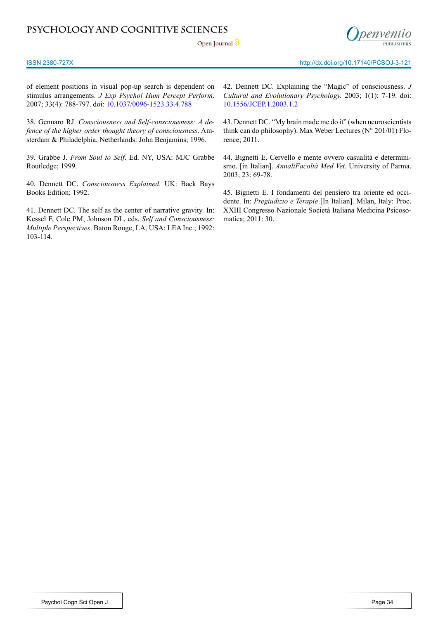**Open Journal**



of element positions in visual pop-up search is dependent on stimulus arrangements. *J Exp Psychol Hum Percept Perform*. 2007; 33(4): 788-797. doi: [10.1037/0096-1523.33.4.788](http://psycnet.apa.org/journals/xhp/33/4/788/)

<span id="page-10-0"></span>38. Gennaro RJ. *Consciousness and Self-consciousness: A defence of the higher order thought theory of consciousness*. Amsterdam & Philadelphia, Netherlands: John Benjamins; 1996.

<span id="page-10-1"></span>39. Grabbe J. *From Soul to Self*. Ed. NY, USA: MJC Grabbe Routledge; 1999.

<span id="page-10-2"></span>40. Dennett DC. *Consciousness Explained*. UK: Back Bays Books Edition; 1992.

41. Dennett DC. The self as the center of narrative gravity. In: Kessel F, Cole PM, Johnson DL, eds. *Self and Consciousness: Multiple Perspectives*. Baton Rouge, LA, USA: LEA Inc.; 1992: 103-114.

42. Dennett DC. Explaining the "Magic" of consciousness. *J Cultural and Evolutionary Psychology.* 2003; 1(1): 7-19. doi: [10.1556/JCEP.1.2003.1.2](http://www.akademiai.com/doi/abs/10.1556/JCEP.1.2003.1.2)

43. Dennett DC. "My brain made me do it" (when neuroscientists think can do philosophy). Max Weber Lectures (N° 201/01) Florence; 2011.

<span id="page-10-3"></span>44. Bignetti E. Cervello e mente ovvero casualità e determinismo. [in Italian]. *AnnaliFacoltà Med Vet*. University of Parma. 2003; 23: 69-78.

45. Bignetti E. I fondamenti del pensiero tra oriente ed occidente. In: *Pregiudizio e Terapie* [In Italian]. Milan, Italy: Proc. XXIII Congresso Nazionale Società Italiana Medicina Psicosomatica; 2011: 30.